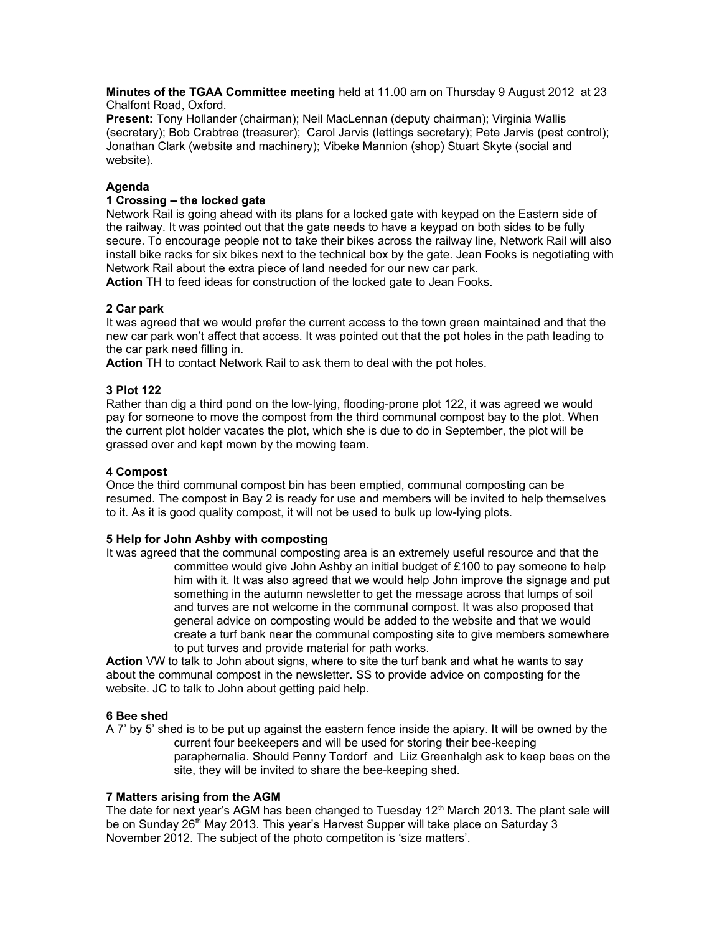**Minutes of the TGAA Committee meeting** held at 11.00 am on Thursday 9 August 2012 at 23 Chalfont Road, Oxford.

**Present:** Tony Hollander (chairman); Neil MacLennan (deputy chairman); Virginia Wallis (secretary); Bob Crabtree (treasurer); Carol Jarvis (lettings secretary); Pete Jarvis (pest control); Jonathan Clark (website and machinery); Vibeke Mannion (shop) Stuart Skyte (social and website).

## **Agenda**

## **1 Crossing – the locked gate**

Network Rail is going ahead with its plans for a locked gate with keypad on the Eastern side of the railway. It was pointed out that the gate needs to have a keypad on both sides to be fully secure. To encourage people not to take their bikes across the railway line, Network Rail will also install bike racks for six bikes next to the technical box by the gate. Jean Fooks is negotiating with Network Rail about the extra piece of land needed for our new car park.

**Action** TH to feed ideas for construction of the locked gate to Jean Fooks.

## **2 Car park**

It was agreed that we would prefer the current access to the town green maintained and that the new car park won't affect that access. It was pointed out that the pot holes in the path leading to the car park need filling in.

**Action** TH to contact Network Rail to ask them to deal with the pot holes.

## **3 Plot 122**

Rather than dig a third pond on the low-lying, flooding-prone plot 122, it was agreed we would pay for someone to move the compost from the third communal compost bay to the plot. When the current plot holder vacates the plot, which she is due to do in September, the plot will be grassed over and kept mown by the mowing team.

### **4 Compost**

Once the third communal compost bin has been emptied, communal composting can be resumed. The compost in Bay 2 is ready for use and members will be invited to help themselves to it. As it is good quality compost, it will not be used to bulk up low-lying plots.

#### **5 Help for John Ashby with composting**

It was agreed that the communal composting area is an extremely useful resource and that the committee would give John Ashby an initial budget of £100 to pay someone to help him with it. It was also agreed that we would help John improve the signage and put something in the autumn newsletter to get the message across that lumps of soil and turves are not welcome in the communal compost. It was also proposed that general advice on composting would be added to the website and that we would create a turf bank near the communal composting site to give members somewhere to put turves and provide material for path works.

**Action** VW to talk to John about signs, where to site the turf bank and what he wants to say about the communal compost in the newsletter. SS to provide advice on composting for the website. JC to talk to John about getting paid help.

#### **6 Bee shed**

A 7' by 5' shed is to be put up against the eastern fence inside the apiary. It will be owned by the current four beekeepers and will be used for storing their bee-keeping paraphernalia. Should Penny Tordorf and Liiz Greenhalgh ask to keep bees on the site, they will be invited to share the bee-keeping shed.

## **7 Matters arising from the AGM**

The date for next year's AGM has been changed to Tuesday 12<sup>th</sup> March 2013. The plant sale will be on Sunday 26<sup>th</sup> May 2013. This year's Harvest Supper will take place on Saturday 3 November 2012. The subject of the photo competiton is 'size matters'.